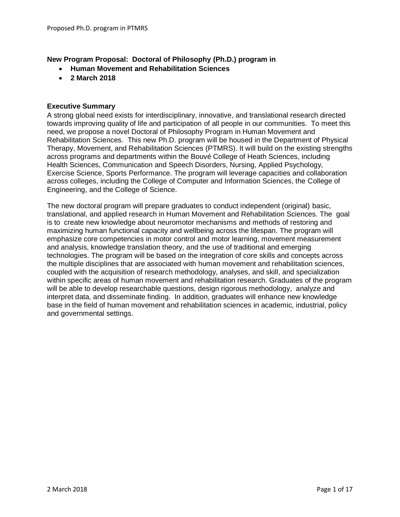# **New Program Proposal: Doctoral of Philosophy (Ph.D.) program in**

- **Human Movement and Rehabilitation Sciences**
- **2 March 2018**

#### **Executive Summary**

A strong global need exists for interdisciplinary, innovative, and translational research directed towards improving quality of life and participation of all people in our communities. To meet this need, we propose a novel Doctoral of Philosophy Program in Human Movement and Rehabilitation Sciences. This new Ph.D. program will be housed in the Department of Physical Therapy, Movement, and Rehabilitation Sciences (PTMRS). It will build on the existing strengths across programs and departments within the Bouvé College of Heath Sciences, including Health Sciences, Communication and Speech Disorders, Nursing, Applied Psychology, Exercise Science, Sports Performance. The program will leverage capacities and collaboration across colleges, including the College of Computer and Information Sciences, the College of Engineering, and the College of Science.

The new doctoral program will prepare graduates to conduct independent (original) basic, translational, and applied research in Human Movement and Rehabilitation Sciences. The goal is to create new knowledge about neuromotor mechanisms and methods of restoring and maximizing human functional capacity and wellbeing across the lifespan. The program will emphasize core competencies in motor control and motor learning, movement measurement and analysis, knowledge translation theory, and the use of traditional and emerging technologies. The program will be based on the integration of core skills and concepts across the multiple disciplines that are associated with human movement and rehabilitation sciences, coupled with the acquisition of research methodology, analyses, and skill, and specialization within specific areas of human movement and rehabilitation research. Graduates of the program will be able to develop researchable questions, design rigorous methodology, analyze and interpret data, and disseminate finding. In addition, graduates will enhance new knowledge base in the field of human movement and rehabilitation sciences in academic, industrial, policy and governmental settings.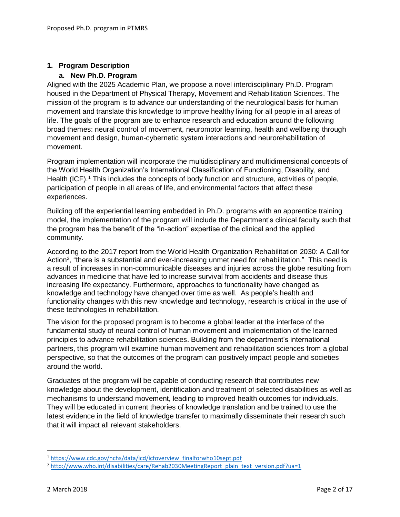### **1. Program Description**

### **a. New Ph.D. Program**

Aligned with the 2025 Academic Plan, we propose a novel interdisciplinary Ph.D. Program housed in the Department of Physical Therapy, Movement and Rehabilitation Sciences. The mission of the program is to advance our understanding of the neurological basis for human movement and translate this knowledge to improve healthy living for all people in all areas of life. The goals of the program are to enhance research and education around the following broad themes: neural control of movement, neuromotor learning, health and wellbeing through movement and design, human-cybernetic system interactions and neurorehabilitation of movement.

Program implementation will incorporate the multidisciplinary and multidimensional concepts of the World Health Organization's International Classification of Functioning, Disability, and Health (ICF).<sup>1</sup> This includes the concepts of body function and structure, activities of people, participation of people in all areas of life, and environmental factors that affect these experiences.

Building off the experiential learning embedded in Ph.D. programs with an apprentice training model, the implementation of the program will include the Department's clinical faculty such that the program has the benefit of the "in-action" expertise of the clinical and the applied community.

According to the 2017 report from the World Health Organization Rehabilitation 2030: A Call for Action<sup>2</sup>, "there is a substantial and ever-increasing unmet need for rehabilitation." This need is a result of increases in non-communicable diseases and injuries across the globe resulting from advances in medicine that have led to increase survival from accidents and disease thus increasing life expectancy. Furthermore, approaches to functionality have changed as knowledge and technology have changed over time as well. As people's health and functionality changes with this new knowledge and technology, research is critical in the use of these technologies in rehabilitation.

The vision for the proposed program is to become a global leader at the interface of the fundamental study of neural control of human movement and implementation of the learned principles to advance rehabilitation sciences. Building from the department's international partners, this program will examine human movement and rehabilitation sciences from a global perspective, so that the outcomes of the program can positively impact people and societies around the world.

Graduates of the program will be capable of conducting research that contributes new knowledge about the development, identification and treatment of selected disabilities as well as mechanisms to understand movement, leading to improved health outcomes for individuals. They will be educated in current theories of knowledge translation and be trained to use the latest evidence in the field of knowledge transfer to maximally disseminate their research such that it will impact all relevant stakeholders.

 $\overline{a}$ 

<sup>1</sup> [https://www.cdc.gov/nchs/data/icd/icfoverview\\_finalforwho10sept.pdf](https://www.cdc.gov/nchs/data/icd/icfoverview_finalforwho10sept.pdf)

<sup>&</sup>lt;sup>2</sup> [http://www.who.int/disabilities/care/Rehab2030MeetingReport\\_plain\\_text\\_version.pdf?ua=1](http://www.who.int/disabilities/care/Rehab2030MeetingReport_plain_text_version.pdf?ua=1)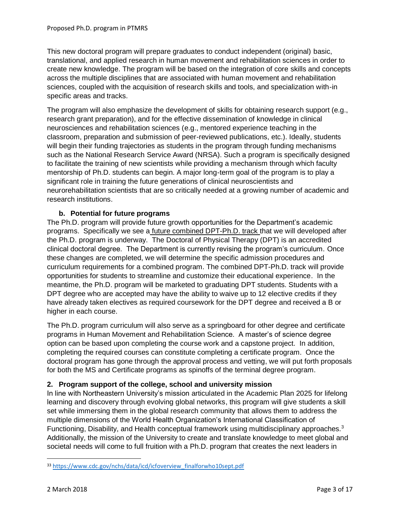This new doctoral program will prepare graduates to conduct independent (original) basic, translational, and applied research in human movement and rehabilitation sciences in order to create new knowledge. The program will be based on the integration of core skills and concepts across the multiple disciplines that are associated with human movement and rehabilitation sciences, coupled with the acquisition of research skills and tools, and specialization with-in specific areas and tracks.

The program will also emphasize the development of skills for obtaining research support (e.g., research grant preparation), and for the effective dissemination of knowledge in clinical neurosciences and rehabilitation sciences (e.g., mentored experience teaching in the classroom, preparation and submission of peer-reviewed publications, etc.). Ideally, students will begin their funding trajectories as students in the program through funding mechanisms such as the National Research Service Award (NRSA). Such a program is specifically designed to facilitate the training of new scientists while providing a mechanism through which faculty mentorship of Ph.D. students can begin. A major long-term goal of the program is to play a significant role in training the future generations of clinical neuroscientists and neurorehabilitation scientists that are so critically needed at a growing number of academic and research institutions.

# **b. Potential for future programs**

The Ph.D. program will provide future growth opportunities for the Department's academic programs. Specifically we see a future combined DPT-Ph.D. track that we will developed after the Ph.D. program is underway. The Doctoral of Physical Therapy (DPT) is an accredited clinical doctoral degree. The Department is currently revising the program's curriculum. Once these changes are completed, we will determine the specific admission procedures and curriculum requirements for a combined program. The combined DPT-Ph.D. track will provide opportunities for students to streamline and customize their educational experience. In the meantime, the Ph.D. program will be marketed to graduating DPT students. Students with a DPT degree who are accepted may have the ability to waive up to 12 elective credits if they have already taken electives as required coursework for the DPT degree and received a B or higher in each course.

The Ph.D. program curriculum will also serve as a springboard for other degree and certificate programs in Human Movement and Rehabilitation Science. A master's of science degree option can be based upon completing the course work and a capstone project. In addition, completing the required courses can constitute completing a certificate program. Once the doctoral program has gone through the approval process and vetting, we will put forth proposals for both the MS and Certificate programs as spinoffs of the terminal degree program.

# **2. Program support of the college, school and university mission**

In line with Northeastern University's mission articulated in the Academic Plan 2025 for lifelong learning and discovery through evolving global networks, this program will give students a skill set while immersing them in the global research community that allows them to address the multiple dimensions of the World Health Organization's International Classification of Functioning, Disability, and Health conceptual framework using multidisciplinary approaches.<sup>3</sup> Additionally, the mission of the University to create and translate knowledge to meet global and societal needs will come to full fruition with a Ph.D. program that creates the next leaders in

l

<sup>33</sup> [https://www.cdc.gov/nchs/data/icd/icfoverview\\_finalforwho10sept.pdf](https://www.cdc.gov/nchs/data/icd/icfoverview_finalforwho10sept.pdf)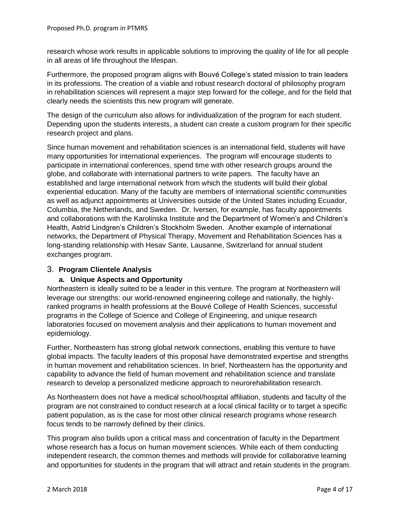research whose work results in applicable solutions to improving the quality of life for all people in all areas of life throughout the lifespan.

Furthermore, the proposed program aligns with Bouvé College's stated mission to train leaders in its professions. The creation of a viable and robust research doctoral of philosophy program in rehabilitation sciences will represent a major step forward for the college, and for the field that clearly needs the scientists this new program will generate.

The design of the curriculum also allows for individualization of the program for each student. Depending upon the students interests, a student can create a custom program for their specific research project and plans.

Since human movement and rehabilitation sciences is an international field, students will have many opportunities for international experiences. The program will encourage students to participate in international conferences, spend time with other research groups around the globe, and collaborate with international partners to write papers. The faculty have an established and large international network from which the students will build their global experiential education. Many of the faculty are members of international scientific communities as well as adjunct appointments at Universities outside of the United States including Ecuador, Columbia, the Netherlands, and Sweden. Dr. Iversen, for example, has faculty appointments and collaborations with the Karolinska Institute and the Department of Women's and Children's Health, Astrid Lindgren's Children's Stockholm Sweden. Another example of international networks, the Department of Physical Therapy, Movement and Rehabilitation Sciences has a long-standing relationship with Hesav Sante, Lausanne, Switzerland for annual student exchanges program.

# 3. **Program Clientele Analysis**

# **a. Unique Aspects and Opportunity**

Northeastern is ideally suited to be a leader in this venture. The program at Northeastern will leverage our strengths: our world-renowned engineering college and nationally, the highlyranked programs in health professions at the Bouvé College of Health Sciences, successful programs in the College of Science and College of Engineering, and unique research laboratories focused on movement analysis and their applications to human movement and epidemiology.

Further, Northeastern has strong global network connections, enabling this venture to have global impacts. The faculty leaders of this proposal have demonstrated expertise and strengths in human movement and rehabilitation sciences. In brief, Northeastern has the opportunity and capability to advance the field of human movement and rehabilitation science and translate research to develop a personalized medicine approach to neurorehabilitation research.

As Northeastern does not have a medical school/hospital affiliation, students and faculty of the program are not constrained to conduct research at a local clinical facility or to target a specific patient population, as is the case for most other clinical research programs whose research focus tends to be narrowly defined by their clinics.

This program also builds upon a critical mass and concentration of faculty in the Department whose research has a focus on human movement sciences. While each of them conducting independent research, the common themes and methods will provide for collaborative learning and opportunities for students in the program that will attract and retain students in the program.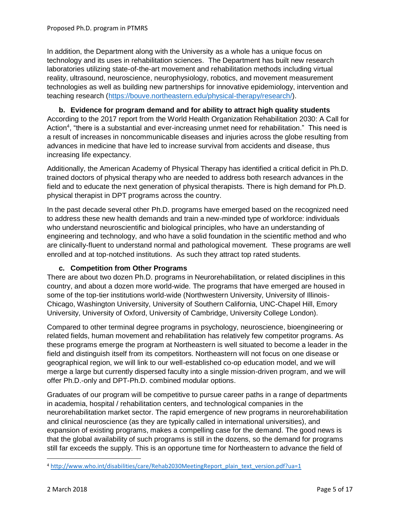In addition, the Department along with the University as a whole has a unique focus on technology and its uses in rehabilitation sciences. The Department has built new research laboratories utilizing state-of-the-art movement and rehabilitation methods including virtual reality, ultrasound, neuroscience, neurophysiology, robotics, and movement measurement technologies as well as building new partnerships for innovative epidemiology, intervention and teaching research [\(https://bouve.northeastern.edu/physical-therapy/research/\)](https://bouve.northeastern.edu/physical-therapy/research/).

**b. Evidence for program demand and for ability to attract high quality students** According to the 2017 report from the World Health Organization Rehabilitation 2030: A Call for Action<sup>4</sup>, "there is a substantial and ever-increasing unmet need for rehabilitation." This need is a result of increases in noncommunicable diseases and injuries across the globe resulting from advances in medicine that have led to increase survival from accidents and disease, thus increasing life expectancy.

Additionally, the American Academy of Physical Therapy has identified a critical deficit in Ph.D. trained doctors of physical therapy who are needed to address both research advances in the field and to educate the next generation of physical therapists. There is high demand for Ph.D. physical therapist in DPT programs across the country.

In the past decade several other Ph.D. programs have emerged based on the recognized need to address these new health demands and train a new-minded type of workforce: individuals who understand neuroscientific and biological principles, who have an understanding of engineering and technology, and who have a solid foundation in the scientific method and who are clinically-fluent to understand normal and pathological movement. These programs are well enrolled and at top-notched institutions. As such they attract top rated students.

# **c. Competition from Other Programs**

There are about two dozen Ph.D. programs in Neurorehabilitation, or related disciplines in this country, and about a dozen more world-wide. The programs that have emerged are housed in some of the top-tier institutions world-wide (Northwestern University, University of Illinois-Chicago, Washington University, University of Southern California, UNC-Chapel Hill, Emory University, University of Oxford, University of Cambridge, University College London).

Compared to other terminal degree programs in psychology, neuroscience, bioengineering or related fields, human movement and rehabilitation has relatively few competitor programs. As these programs emerge the program at Northeastern is well situated to become a leader in the field and distinguish itself from its competitors. Northeastern will not focus on one disease or geographical region, we will link to our well-established co-op education model, and we will merge a large but currently dispersed faculty into a single mission-driven program, and we will offer Ph.D.-only and DPT-Ph.D. combined modular options.

Graduates of our program will be competitive to pursue career paths in a range of departments in academia, hospital / rehabilitation centers, and technological companies in the neurorehabilitation market sector. The rapid emergence of new programs in neurorehabilitation and clinical neuroscience (as they are typically called in international universities), and expansion of existing programs, makes a compelling case for the demand. The good news is that the global availability of such programs is still in the dozens, so the demand for programs still far exceeds the supply. This is an opportune time for Northeastern to advance the field of

l

<sup>4</sup> [http://www.who.int/disabilities/care/Rehab2030MeetingReport\\_plain\\_text\\_version.pdf?ua=1](http://www.who.int/disabilities/care/Rehab2030MeetingReport_plain_text_version.pdf?ua=1)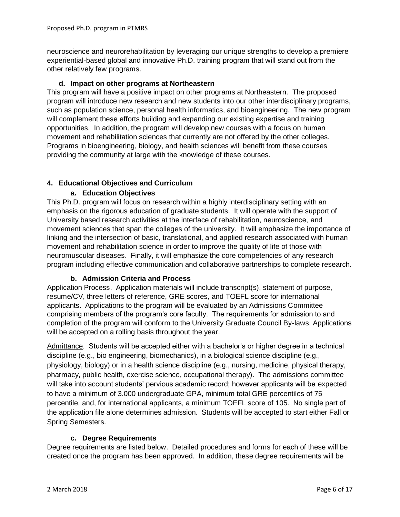neuroscience and neurorehabilitation by leveraging our unique strengths to develop a premiere experiential-based global and innovative Ph.D. training program that will stand out from the other relatively few programs.

# **d. Impact on other programs at Northeastern**

This program will have a positive impact on other programs at Northeastern. The proposed program will introduce new research and new students into our other interdisciplinary programs, such as population science, personal health informatics, and bioengineering. The new program will complement these efforts building and expanding our existing expertise and training opportunities. In addition, the program will develop new courses with a focus on human movement and rehabilitation sciences that currently are not offered by the other colleges. Programs in bioengineering, biology, and health sciences will benefit from these courses providing the community at large with the knowledge of these courses.

# **4. Educational Objectives and Curriculum**

# **a. Education Objectives**

This Ph.D. program will focus on research within a highly interdisciplinary setting with an emphasis on the rigorous education of graduate students. It will operate with the support of University based research activities at the interface of rehabilitation, neuroscience, and movement sciences that span the colleges of the university. It will emphasize the importance of linking and the intersection of basic, translational, and applied research associated with human movement and rehabilitation science in order to improve the quality of life of those with neuromuscular diseases. Finally, it will emphasize the core competencies of any research program including effective communication and collaborative partnerships to complete research.

# **b. Admission Criteria and Process**

Application Process. Application materials will include transcript(s), statement of purpose, resume/CV, three letters of reference, GRE scores, and TOEFL score for international applicants. Applications to the program will be evaluated by an Admissions Committee comprising members of the program's core faculty. The requirements for admission to and completion of the program will conform to the University Graduate Council By-laws. Applications will be accepted on a rolling basis throughout the year.

Admittance. Students will be accepted either with a bachelor's or higher degree in a technical discipline (e.g., bio engineering, biomechanics), in a biological science discipline (e.g., physiology, biology) or in a health science discipline (e.g., nursing, medicine, physical therapy, pharmacy, public health, exercise science, occupational therapy). The admissions committee will take into account students' pervious academic record; however applicants will be expected to have a minimum of 3.000 undergraduate GPA, minimum total GRE percentiles of 75 percentile, and, for international applicants, a minimum TOEFL score of 105. No single part of the application file alone determines admission. Students will be accepted to start either Fall or Spring Semesters.

# **c. Degree Requirements**

Degree requirements are listed below. Detailed procedures and forms for each of these will be created once the program has been approved. In addition, these degree requirements will be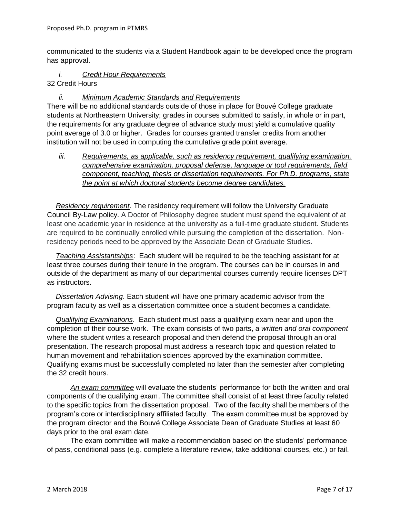communicated to the students via a Student Handbook again to be developed once the program has approval.

#### *i. Credit Hour Requirements* 32 Credit Hours

*ii. Minimum Academic Standards and Requirements*

There will be no additional standards outside of those in place for Bouvé College graduate students at Northeastern University; grades in courses submitted to satisfy, in whole or in part, the requirements for any graduate degree of advance study must yield a cumulative quality point average of 3.0 or higher. Grades for courses granted transfer credits from another institution will not be used in computing the cumulative grade point average.

*iii. Requirements, as applicable, such as residency requirement, qualifying examination, comprehensive examination, proposal defense, language or tool requirements, field component, teaching, thesis or dissertation requirements. For Ph.D. programs, state the point at which doctoral students become degree candidates.* 

*Residency requirement*. The residency requirement will follow the University Graduate Council By-Law policy. A Doctor of Philosophy degree student must spend the equivalent of at least one academic year in residence at the university as a full-time graduate student. Students are required to be continually enrolled while pursuing the completion of the dissertation. Nonresidency periods need to be approved by the Associate Dean of Graduate Studies.

*Teaching Assistantships*: Each student will be required to be the teaching assistant for at least three courses during their tenure in the program. The courses can be in courses in and outside of the department as many of our departmental courses currently require licenses DPT as instructors.

*Dissertation Advising*. Each student will have one primary academic advisor from the program faculty as well as a dissertation committee once a student becomes a candidate.

*Qualifying Examinations*. Each student must pass a qualifying exam near and upon the completion of their course work. The exam consists of two parts, a *written and oral component* where the student writes a research proposal and then defend the proposal through an oral presentation. The research proposal must address a research topic and question related to human movement and rehabilitation sciences approved by the examination committee. Qualifying exams must be successfully completed no later than the semester after completing the 32 credit hours.

*An exam committee* will evaluate the students' performance for both the written and oral components of the qualifying exam. The committee shall consist of at least three faculty related to the specific topics from the dissertation proposal. Two of the faculty shall be members of the program's core or interdisciplinary affiliated faculty. The exam committee must be approved by the program director and the Bouvé College Associate Dean of Graduate Studies at least 60 days prior to the oral exam date.

The exam committee will make a recommendation based on the students' performance of pass, conditional pass (e.g. complete a literature review, take additional courses, etc.) or fail.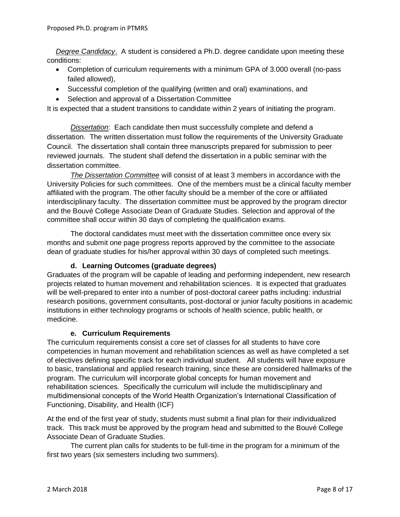*Degree Candidacy*. A student is considered a Ph.D. degree candidate upon meeting these conditions:

- Completion of curriculum requirements with a minimum GPA of 3.000 overall (no-pass failed allowed),
- Successful completion of the qualifying (written and oral) examinations, and
- Selection and approval of a Dissertation Committee

It is expected that a student transitions to candidate within 2 years of initiating the program.

*Dissertation*: Each candidate then must successfully complete and defend a dissertation. The written dissertation must follow the requirements of the University Graduate Council. The dissertation shall contain three manuscripts prepared for submission to peer reviewed journals. The student shall defend the dissertation in a public seminar with the dissertation committee.

*The Dissertation Committee* will consist of at least 3 members in accordance with the University Policies for such committees. One of the members must be a clinical faculty member affiliated with the program. The other faculty should be a member of the core or affiliated interdisciplinary faculty. The dissertation committee must be approved by the program director and the Bouvé College Associate Dean of Graduate Studies. Selection and approval of the committee shall occur within 30 days of completing the qualification exams.

The doctoral candidates must meet with the dissertation committee once every six months and submit one page progress reports approved by the committee to the associate dean of graduate studies for his/her approval within 30 days of completed such meetings.

# **d. Learning Outcomes (graduate degrees)**

Graduates of the program will be capable of leading and performing independent, new research projects related to human movement and rehabilitation sciences. It is expected that graduates will be well-prepared to enter into a number of post-doctoral career paths including: industrial research positions, government consultants, post-doctoral or junior faculty positions in academic institutions in either technology programs or schools of health science, public health, or medicine.

#### **e. Curriculum Requirements**

The curriculum requirements consist a core set of classes for all students to have core competencies in human movement and rehabilitation sciences as well as have completed a set of electives defining specific track for each individual student. All students will have exposure to basic, translational and applied research training, since these are considered hallmarks of the program. The curriculum will incorporate global concepts for human movement and rehabilitation sciences. Specifically the curriculum will include the multidisciplinary and multidimensional concepts of the World Health Organization's International Classification of Functioning, Disability, and Health (ICF)

At the end of the first year of study, students must submit a final plan for their individualized track. This track must be approved by the program head and submitted to the Bouvé College Associate Dean of Graduate Studies.

The current plan calls for students to be full-time in the program for a minimum of the first two years (six semesters including two summers).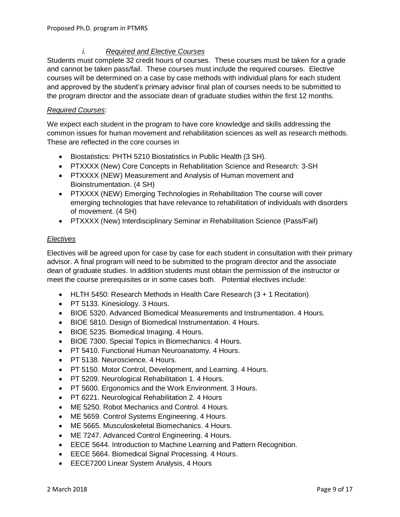# *i. Required and Elective Courses*

Students must complete 32 credit hours of courses. These courses must be taken for a grade and cannot be taken pass/fail. These courses must include the required courses. Elective courses will be determined on a case by case methods with individual plans for each student and approved by the student's primary advisor final plan of courses needs to be submitted to the program director and the associate dean of graduate studies within the first 12 months.

# *Required Courses*:

We expect each student in the program to have core knowledge and skills addressing the common issues for human movement and rehabilitation sciences as well as research methods. These are reflected in the core courses in

- Biostatistics: PHTH 5210 Biostatistics in Public Health (3 SH).
- PTXXXX (New) Core Concepts in Rehabilitation Science and Research: 3-SH
- PTXXXX (NEW) Measurement and Analysis of Human movement and Bioinstrumentation. (4 SH)
- PTXXXX (NEW) Emerging Technologies in Rehabilitation The course will cover emerging technologies that have relevance to rehabilitation of individuals with disorders of movement. (4 SH)
- PTXXXX (New) Interdisciplinary Seminar in Rehabilitation Science (Pass/Fail)

#### *Electives*

Electives will be agreed upon for case by case for each student in consultation with their primary advisor. A final program will need to be submitted to the program director and the associate dean of graduate studies. In addition students must obtain the permission of the instructor or meet the course prerequisites or in some cases both. Potential electives include:

- HLTH 5450: Research Methods in Health Care Research (3 + 1 Recitation)
- PT 5133. Kinesiology. 3 Hours.
- BIOE 5320. Advanced Biomedical Measurements and Instrumentation. 4 Hours.
- BIOE 5810. Design of Biomedical Instrumentation. 4 Hours.
- BIOE 5235. Biomedical Imaging. 4 Hours.
- BIOE 7300. Special Topics in Biomechanics. 4 Hours.
- PT 5410. Functional Human Neuroanatomy. 4 Hours.
- PT 5138. Neuroscience. 4 Hours.
- PT 5150. Motor Control, Development, and Learning. 4 Hours.
- PT 5209. Neurological Rehabilitation 1. 4 Hours.
- PT 5600. Ergonomics and the Work Environment. 3 Hours.
- PT 6221. Neurological Rehabilitation 2. 4 Hours
- ME 5250. Robot Mechanics and Control. 4 Hours.
- ME 5659. Control Systems Engineering. 4 Hours.
- ME 5665. Musculoskeletal Biomechanics. 4 Hours.
- ME 7247. Advanced Control Engineering. 4 Hours.
- EECE 5644. Introduction to Machine Learning and Pattern Recognition.
- EECE 5664. Biomedical Signal Processing. 4 Hours.
- EECE7200 Linear System Analysis, 4 Hours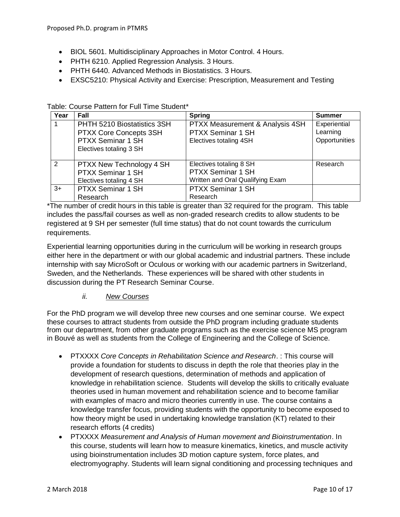- BIOL 5601. Multidisciplinary Approaches in Motor Control. 4 Hours.
- PHTH 6210. Applied Regression Analysis. 3 Hours.
- PHTH 6440. Advanced Methods in Biostatistics. 3 Hours.
- EXSC5210: Physical Activity and Exercise: Prescription, Measurement and Testing

| Year | Fall                        | <b>Spring</b>                    | <b>Summer</b> |
|------|-----------------------------|----------------------------------|---------------|
|      | PHTH 5210 Biostatistics 3SH | PTXX Measurement & Analysis 4SH  | Experiential  |
|      | PTXX Core Concepts 3SH      | <b>PTXX Seminar 1 SH</b>         | Learning      |
|      | <b>PTXX Seminar 1 SH</b>    | Electives totaling 4SH           | Opportunities |
|      | Electives totaling 3 SH     |                                  |               |
|      |                             |                                  |               |
| 2    | PTXX New Technology 4 SH    | Electives totaling 8 SH          | Research      |
|      | <b>PTXX Seminar 1 SH</b>    | <b>PTXX Seminar 1 SH</b>         |               |
|      | Electives totaling 4 SH     | Written and Oral Qualifying Exam |               |
| $3+$ | <b>PTXX Seminar 1 SH</b>    | <b>PTXX Seminar 1 SH</b>         |               |
|      | Research                    | Research                         |               |

Table: Course Pattern for Full Time Student\*

\*The number of credit hours in this table is greater than 32 required for the program. This table includes the pass/fail courses as well as non-graded research credits to allow students to be registered at 9 SH per semester (full time status) that do not count towards the curriculum requirements.

Experiential learning opportunities during in the curriculum will be working in research groups either here in the department or with our global academic and industrial partners. These include internship with say MicroSoft or Oculous or working with our academic partners in Switzerland, Sweden, and the Netherlands. These experiences will be shared with other students in discussion during the PT Research Seminar Course.

# *ii. New Courses*

For the PhD program we will develop three new courses and one seminar course. We expect these courses to attract students from outside the PhD program including graduate students from our department, from other graduate programs such as the exercise science MS program in Bouvé as well as students from the College of Engineering and the College of Science.

- PTXXXX *Core Concepts in Rehabilitation Science and Research*. : This course will provide a foundation for students to discuss in depth the role that theories play in the development of research questions, determination of methods and application of knowledge in rehabilitation science. Students will develop the skills to critically evaluate theories used in human movement and rehabilitation science and to become familiar with examples of macro and micro theories currently in use. The course contains a knowledge transfer focus, providing students with the opportunity to become exposed to how theory might be used in undertaking knowledge translation (KT) related to their research efforts (4 credits)
- PTXXXX *Measurement and Analysis of Human movement and Bioinstrumentation*. In this course, students will learn how to measure kinematics, kinetics, and muscle activity using bioinstrumentation includes 3D motion capture system, force plates, and electromyography. Students will learn signal conditioning and processing techniques and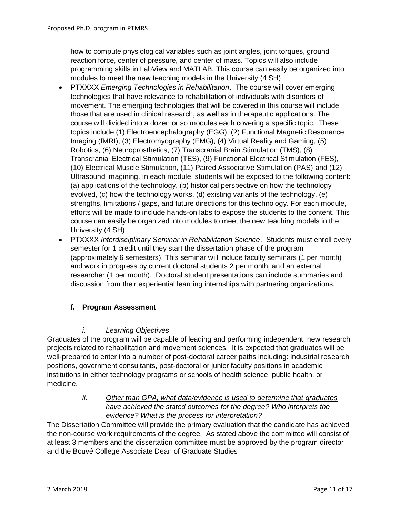how to compute physiological variables such as joint angles, joint torques, ground reaction force, center of pressure, and center of mass. Topics will also include programming skills in LabView and MATLAB. This course can easily be organized into modules to meet the new teaching models in the University (4 SH)

- PTXXXX *Emerging Technologies in Rehabilitation*. The course will cover emerging technologies that have relevance to rehabilitation of individuals with disorders of movement. The emerging technologies that will be covered in this course will include those that are used in clinical research, as well as in therapeutic applications. The course will divided into a dozen or so modules each covering a specific topic. These topics include (1) Electroencephalography (EGG), (2) Functional Magnetic Resonance Imaging (fMRI), (3) Electromyography (EMG), (4) Virtual Reality and Gaming, (5) Robotics, (6) Neuroprosthetics, (7) Transcranial Brain Stimulation (TMS), (8) Transcranial Electrical Stimulation (TES), (9) Functional Electrical Stimulation (FES), (10) Electrical Muscle Stimulation, (11) Paired Associative Stimulation (PAS) and (12) Ultrasound imagining. In each module, students will be exposed to the following content: (a) applications of the technology, (b) historical perspective on how the technology evolved, (c) how the technology works, (d) existing variants of the technology, (e) strengths, limitations / gaps, and future directions for this technology. For each module, efforts will be made to include hands-on labs to expose the students to the content. This course can easily be organized into modules to meet the new teaching models in the University (4 SH)
- PTXXXX *Interdisciplinary Seminar in Rehabilitation Science*. Students must enroll every semester for 1 credit until they start the dissertation phase of the program (approximately 6 semesters). This seminar will include faculty seminars (1 per month) and work in progress by current doctoral students 2 per month, and an external researcher (1 per month). Doctoral student presentations can include summaries and discussion from their experiential learning internships with partnering organizations.

# **f. Program Assessment**

# *i. Learning Objectives*

Graduates of the program will be capable of leading and performing independent, new research projects related to rehabilitation and movement sciences. It is expected that graduates will be well-prepared to enter into a number of post-doctoral career paths including: industrial research positions, government consultants, post-doctoral or junior faculty positions in academic institutions in either technology programs or schools of health science, public health, or medicine.

> *ii. Other than GPA, what data/evidence is used to determine that graduates have achieved the stated outcomes for the degree? Who interprets the evidence? What is the process for interpretation?*

The Dissertation Committee will provide the primary evaluation that the candidate has achieved the non-course work requirements of the degree. As stated above the committee will consist of at least 3 members and the dissertation committee must be approved by the program director and the Bouvé College Associate Dean of Graduate Studies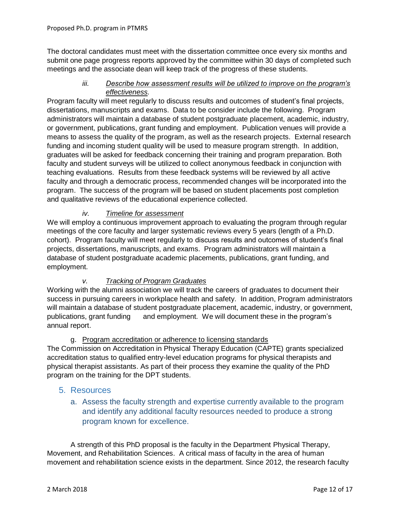The doctoral candidates must meet with the dissertation committee once every six months and submit one page progress reports approved by the committee within 30 days of completed such meetings and the associate dean will keep track of the progress of these students.

# *iii. Describe how assessment results will be utilized to improve on the program's effectiveness.*

Program faculty will meet regularly to discuss results and outcomes of student's final projects, dissertations, manuscripts and exams. Data to be consider include the following. Program administrators will maintain a database of student postgraduate placement, academic, industry, or government, publications, grant funding and employment. Publication venues will provide a means to assess the quality of the program, as well as the research projects. External research funding and incoming student quality will be used to measure program strength. In addition, graduates will be asked for feedback concerning their training and program preparation. Both faculty and student surveys will be utilized to collect anonymous feedback in conjunction with teaching evaluations. Results from these feedback systems will be reviewed by all active faculty and through a democratic process, recommended changes will be incorporated into the program. The success of the program will be based on student placements post completion and qualitative reviews of the educational experience collected.

# *iv. Timeline for assessment*

We will employ a continuous improvement approach to evaluating the program through regular meetings of the core faculty and larger systematic reviews every 5 years (length of a Ph.D. cohort). Program faculty will meet regularly to discuss results and outcomes of student's final projects, dissertations, manuscripts, and exams. Program administrators will maintain a database of student postgraduate academic placements, publications, grant funding, and employment.

# *v. Tracking of Program Graduates*

Working with the alumni association we will track the careers of graduates to document their success in pursuing careers in workplace health and safety. In addition, Program administrators will maintain a database of student postgraduate placement, academic, industry, or government, publications, grant funding and employment. We will document these in the program's annual report.

# g. Program accreditation or adherence to licensing standards

The Commission on Accreditation in Physical Therapy Education (CAPTE) grants specialized accreditation status to qualified entry-level education programs for physical therapists and physical therapist assistants. As part of their process they examine the quality of the PhD program on the training for the DPT students.

# 5. Resources

a. Assess the faculty strength and expertise currently available to the program and identify any additional faculty resources needed to produce a strong program known for excellence.

A strength of this PhD proposal is the faculty in the Department Physical Therapy, Movement, and Rehabilitation Sciences. A critical mass of faculty in the area of human movement and rehabilitation science exists in the department. Since 2012, the research faculty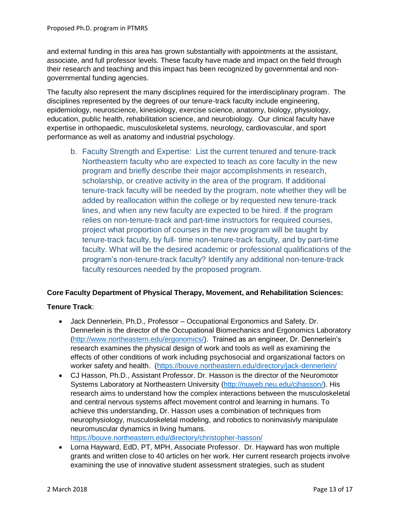and external funding in this area has grown substantially with appointments at the assistant, associate, and full professor levels. These faculty have made and impact on the field through their research and teaching and this impact has been recognized by governmental and nongovernmental funding agencies.

The faculty also represent the many disciplines required for the interdisciplinary program. The disciplines represented by the degrees of our tenure-track faculty include engineering, epidemiology, neuroscience, kinesiology, exercise science, anatomy, biology, physiology, education, public health, rehabilitation science, and neurobiology. Our clinical faculty have expertise in orthopaedic, musculoskeletal systems, neurology, cardiovascular, and sport performance as well as anatomy and industrial psychology.

b. Faculty Strength and Expertise: List the current tenured and tenure‐track Northeastern faculty who are expected to teach as core faculty in the new program and briefly describe their major accomplishments in research, scholarship, or creative activity in the area of the program. If additional tenure‐track faculty will be needed by the program, note whether they will be added by reallocation within the college or by requested new tenure‐track lines, and when any new faculty are expected to be hired. If the program relies on non-tenure‐track and part‐time instructors for required courses, project what proportion of courses in the new program will be taught by tenure-track faculty, by full- time non-tenure-track faculty, and by part-time faculty. What will be the desired academic or professional qualifications of the program's non-tenure‐track faculty? Identify any additional non-tenure‐track faculty resources needed by the proposed program.

# **Core Faculty Department of Physical Therapy, Movement, and Rehabilitation Sciences:**

# **Tenure Track**:

- Jack Dennerlein, Ph.D., Professor Occupational Ergonomics and Safety. Dr. Dennerlein is the director of the Occupational Biomechanics and Ergonomics Laboratory [\(http://www.northeastern.edu/ergonomics/\)](http://www.northeastern.edu/ergonomics/). Trained as an engineer, Dr. Dennerlein's research examines the physical design of work and tools as well as examining the effects of other conditions of work including psychosocial and organizational factors on worker safety and health. [\(https://bouve.northeastern.edu/directory/jack-dennerlein/](https://bouve.northeastern.edu/directory/jack-dennerlein/)
- CJ Hasson, Ph.D., Assistant Professor. Dr. Hasson is the director of the Neuromotor Systems Laboratory at Northeastern University [\(http://nuweb.neu.edu/cjhasson/\)](http://nuweb.neu.edu/cjhasson/). His research aims to understand how the complex interactions between the musculoskeletal and central nervous systems affect movement control and learning in humans. To achieve this understanding, Dr. Hasson uses a combination of techniques from neurophysiology, musculoskeletal modeling, and robotics to noninvasivly manipulate neuromuscular dynamics in living humans. <https://bouve.northeastern.edu/directory/christopher-hasson/>
- Lorna Hayward, EdD, PT, MPH, Associate Professor. Dr. Hayward has won multiple grants and written close to 40 articles on her work. Her current research projects involve examining the use of innovative student assessment strategies, such as student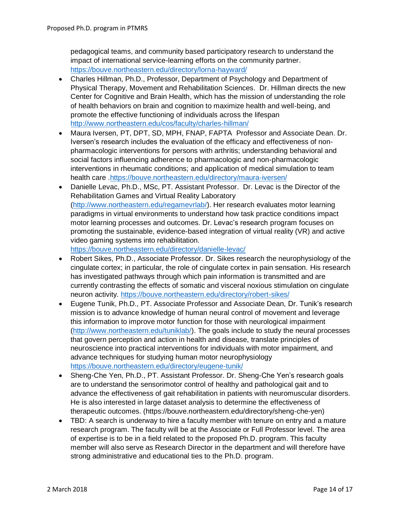pedagogical teams, and community based participatory research to understand the impact of international service-learning efforts on the community partner. <https://bouve.northeastern.edu/directory/lorna-hayward/>

- Charles Hillman, Ph.D., Professor, Department of Psychology and Department of Physical Therapy, Movement and Rehabilitation Sciences. Dr. Hillman directs the new Center for Cognitive and Brain Health, which has the mission of understanding the role of health behaviors on brain and cognition to maximize health and well-being, and promote the effective functioning of individuals across the lifespan <http://www.northeastern.edu/cos/faculty/charles-hillman/>
- Maura Iversen, PT, DPT, SD, MPH, FNAP, FAPTA Professor and Associate Dean. Dr. Iversen's research includes the evaluation of the efficacy and effectiveness of nonpharmacologic interventions for persons with arthritis; understanding behavioral and social factors influencing adherence to pharmacologic and non-pharmacologic interventions in rheumatic conditions; and application of medical simulation to team health care [.https://bouve.northeastern.edu/directory/maura-iversen/](https://bouve.northeastern.edu/directory/maura-iversen/)
- Danielle Levac, Ph.D., MSc, PT. Assistant Professor. Dr. Levac is the Director of the Rehabilitation Games and Virtual Reality Laboratory [\(http://www.northeastern.edu/regamevrlab/\)](http://www.northeastern.edu/regamevrlab/). Her research evaluates motor learning paradigms in virtual environments to understand how task practice conditions impact motor learning processes and outcomes. Dr. Levac's research program focuses on promoting the sustainable, evidence-based integration of virtual reality (VR) and active video gaming systems into rehabilitation. <https://bouve.northeastern.edu/directory/danielle-levac/>
- Robert Sikes, Ph.D., Associate Professor. Dr. Sikes research the neurophysiology of the cingulate cortex; in particular, the role of cingulate cortex in pain sensation. His research has investigated pathways through which pain information is transmitted and are currently contrasting the effects of somatic and visceral noxious stimulation on cingulate neuron activity. <https://bouve.northeastern.edu/directory/robert-sikes/>
- Eugene Tunik, Ph.D., PT. Associate Professor and Associate Dean, Dr. Tunik's research mission is to advance knowledge of human neural control of movement and leverage this information to improve motor function for those with neurological impairment [\(http://www.northeastern.edu/tuniklab/\)](http://www.northeastern.edu/tuniklab/). The goals include to study the neural processes that govern perception and action in health and disease, translate principles of neuroscience into practical interventions for individuals with motor impairment, and advance techniques for studying human motor neurophysiology <https://bouve.northeastern.edu/directory/eugene-tunik/>
- Sheng-Che Yen, Ph.D., PT. Assistant Professor. Dr. Sheng-Che Yen's research goals are to understand the sensorimotor control of healthy and pathological gait and to advance the effectiveness of gait rehabilitation in patients with neuromuscular disorders. He is also interested in large dataset analysis to determine the effectiveness of therapeutic outcomes. (https://bouve.northeastern.edu/directory/sheng-che-yen)
- TBD: A search is underway to hire a faculty member with tenure on entry and a mature research program. The faculty will be at the Associate or Full Professor level. The area of expertise is to be in a field related to the proposed Ph.D. program. This faculty member will also serve as Research Director in the department and will therefore have strong administrative and educational ties to the Ph.D. program.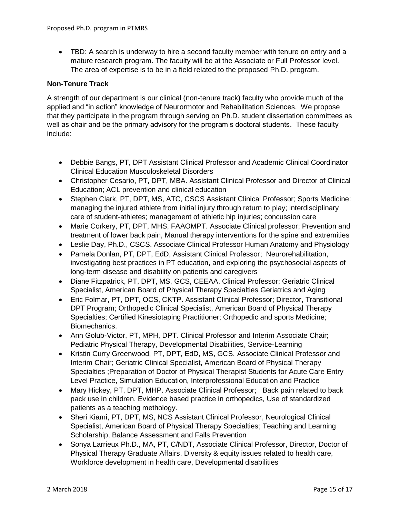• TBD: A search is underway to hire a second faculty member with tenure on entry and a mature research program. The faculty will be at the Associate or Full Professor level. The area of expertise is to be in a field related to the proposed Ph.D. program.

### **Non-Tenure Track**

A strength of our department is our clinical (non-tenure track) faculty who provide much of the applied and "in action" knowledge of Neurormotor and Rehabilitation Sciences. We propose that they participate in the program through serving on Ph.D. student dissertation committees as well as chair and be the primary advisory for the program's doctoral students. These faculty include:

- Debbie Bangs, PT, DPT Assistant Clinical Professor and Academic Clinical Coordinator Clinical Education Musculoskeletal Disorders
- Christopher Cesario, PT, DPT, MBA. Assistant Clinical Professor and Director of Clinical Education; ACL prevention and clinical education
- Stephen Clark, PT, DPT, MS, ATC, CSCS Assistant Clinical Professor; Sports Medicine: managing the injured athlete from initial injury through return to play; interdisciplinary care of student-athletes; management of athletic hip injuries; concussion care
- Marie Corkery, PT, DPT, MHS, FAAOMPT. Associate Clinical professor; Prevention and treatment of lower back pain, Manual therapy interventions for the spine and extremities
- Leslie Day, Ph.D., CSCS. Associate Clinical Professor Human Anatomy and Physiology
- Pamela Donlan, PT, DPT, EdD, Assistant Clinical Professor; Neurorehabilitation, investigating best practices in PT education, and exploring the psychosocial aspects of long-term disease and disability on patients and caregivers
- Diane Fitzpatrick, PT, DPT, MS, GCS, CEEAA. Clinical Professor; Geriatric Clinical Specialist, American Board of Physical Therapy Specialties Geriatrics and Aging
- Eric Folmar, PT, DPT, OCS, CKTP, Assistant Clinical Professor: Director, Transitional DPT Program; Orthopedic Clinical Specialist, American Board of Physical Therapy Specialties; Certified Kinesiotaping Practitioner; Orthopedic and sports Medicine; Biomechanics.
- Ann Golub-Victor, PT, MPH, DPT. Clinical Professor and Interim Associate Chair; Pediatric Physical Therapy, Developmental Disabilities, Service-Learning
- Kristin Curry Greenwood, PT, DPT, EdD, MS, GCS. Associate Clinical Professor and Interim Chair; Geriatric Clinical Specialist, American Board of Physical Therapy Specialties ;Preparation of Doctor of Physical Therapist Students for Acute Care Entry Level Practice, Simulation Education, Interprofessional Education and Practice
- Mary Hickey, PT, DPT, MHP. Associate Clinical Professor; Back pain related to back pack use in children. Evidence based practice in orthopedics, Use of standardized patients as a teaching methology.
- Sheri Kiami, PT, DPT, MS, NCS Assistant Clinical Professor, Neurological Clinical Specialist, American Board of Physical Therapy Specialties; Teaching and Learning Scholarship, Balance Assessment and Falls Prevention
- Sonya Larrieux Ph.D., MA, PT, C/NDT, Associate Clinical Professor, Director, Doctor of Physical Therapy Graduate Affairs. Diversity & equity issues related to health care, Workforce development in health care, Developmental disabilities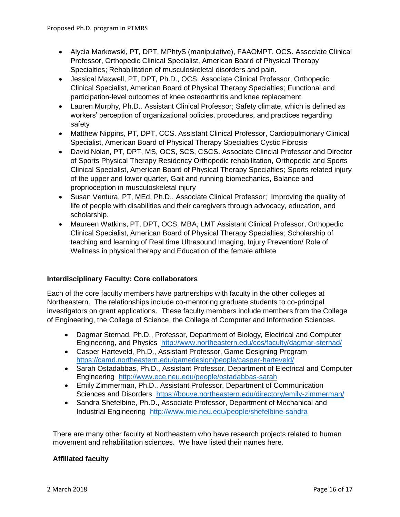- Alycia Markowski, PT, DPT, MPhtyS (manipulative), FAAOMPT, OCS. Associate Clinical Professor, Orthopedic Clinical Specialist, American Board of Physical Therapy Specialties; Rehabilitation of musculoskeletal disorders and pain.
- Jessical Maxwell, PT, DPT, Ph.D., OCS. Associate Clinical Professor, Orthopedic Clinical Specialist, American Board of Physical Therapy Specialties; Functional and participation-level outcomes of knee osteoarthritis and knee replacement
- Lauren Murphy, Ph.D., Assistant Clinical Professor; Safety climate, which is defined as workers' perception of organizational policies, procedures, and practices regarding safety
- Matthew Nippins, PT, DPT, CCS. Assistant Clinical Professor, Cardiopulmonary Clinical Specialist, American Board of Physical Therapy Specialties Cystic Fibrosis
- David Nolan, PT, DPT, MS, OCS, SCS, CSCS. Associate Clincial Professor and Director of Sports Physical Therapy Residency Orthopedic rehabilitation, Orthopedic and Sports Clinical Specialist, American Board of Physical Therapy Specialties; Sports related injury of the upper and lower quarter, Gait and running biomechanics, Balance and proprioception in musculoskeletal injury
- Susan Ventura, PT, MEd, Ph.D.. Associate Clinical Professor; Improving the quality of life of people with disabilities and their caregivers through advocacy, education, and scholarship.
- Maureen Watkins, PT, DPT, OCS, MBA, LMT Assistant Clinical Professor, Orthopedic Clinical Specialist, American Board of Physical Therapy Specialties; Scholarship of teaching and learning of Real time Ultrasound Imaging, Injury Prevention/ Role of Wellness in physical therapy and Education of the female athlete

# **Interdisciplinary Faculty: Core collaborators**

Each of the core faculty members have partnerships with faculty in the other colleges at Northeastern. The relationships include co-mentoring graduate students to co-principal investigators on grant applications. These faculty members include members from the College of Engineering, the College of Science, the College of Computer and Information Sciences.

- Dagmar Sternad, Ph.D., Professor, Department of Biology, Electrical and Computer Engineering, and Physics <http://www.northeastern.edu/cos/faculty/dagmar-sternad/>
- Casper Harteveld, Ph.D., Assistant Professor, Game Designing Program <https://camd.northeastern.edu/gamedesign/people/casper-harteveld/>
- Sarah Ostadabbas, Ph.D., Assistant Professor, Department of Electrical and Computer Engineering <http://www.ece.neu.edu/people/ostadabbas-sarah>
- Emily Zimmerman, Ph.D., Assistant Professor, Department of Communication Sciences and Disorders <https://bouve.northeastern.edu/directory/emily-zimmerman/>
- Sandra Shefelbine, Ph.D., Associate Professor, Department of Mechanical and Industrial Engineering <http://www.mie.neu.edu/people/shefelbine-sandra>

There are many other faculty at Northeastern who have research projects related to human movement and rehabilitation sciences. We have listed their names here.

# **Affiliated faculty**